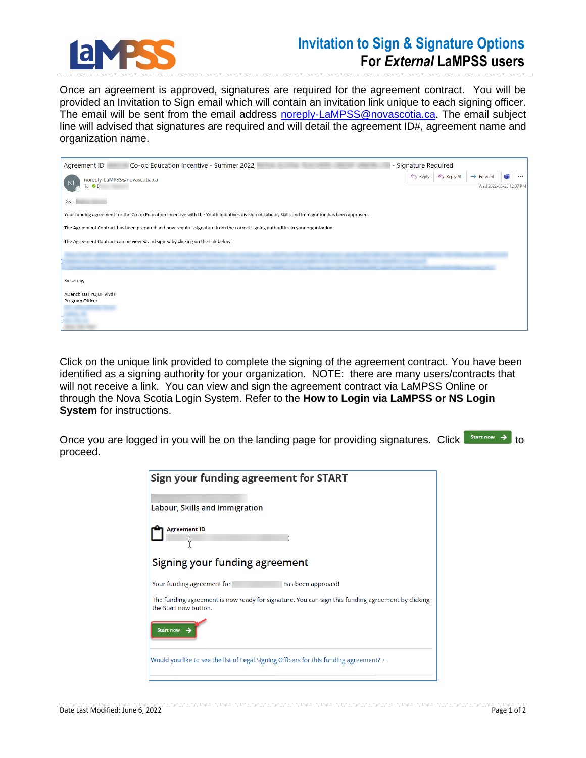

## **Invitation to Sign & Signature Options For** *External* **LaMPSS users**

Once an agreement is approved, signatures are required for the agreement contract. You will be provided an Invitation to Sign email which will contain an invitation link unique to each signing officer. The email will be sent from the email address [noreply-LaMPSS@novascotia.ca.](mailto:noreply-LaMPSS@novascotia.ca) The email subject line will advised that signatures are required and will detail the agreement ID#, agreement name and organization name.

| Co-op Education Incentive - Summer 2022,<br>- Signature Required<br>Agreement ID:                                                                 |                    |             |                         |     |          |  |
|---------------------------------------------------------------------------------------------------------------------------------------------------|--------------------|-------------|-------------------------|-----|----------|--|
| noreply-LaMPSS@novascotia.ca<br>N <sub>1</sub>                                                                                                    | $\leftarrow$ Reply | K Reply All | $\rightarrow$ Forward   | túi | $\cdots$ |  |
| To OI                                                                                                                                             |                    |             | Wed 2022-05-25 12:07 PM |     |          |  |
| Dear                                                                                                                                              |                    |             |                         |     |          |  |
| Your funding agreement for the Co-op Education Incentive with the Youth Initiatives division of Labour, Skills and Immigration has been approved. |                    |             |                         |     |          |  |
| The Agreement Contract has been prepared and now requires signature from the correct signing authorities in your organization.                    |                    |             |                         |     |          |  |
| The Agreement Contract can be viewed and signed by clicking on the link below:                                                                    |                    |             |                         |     |          |  |
|                                                                                                                                                   |                    |             |                         |     |          |  |
|                                                                                                                                                   |                    |             |                         |     |          |  |
| Sincerely,                                                                                                                                        |                    |             |                         |     |          |  |
| ADencbRsaT rQjDHVlvdT                                                                                                                             |                    |             |                         |     |          |  |
| Program Officer                                                                                                                                   |                    |             |                         |     |          |  |
|                                                                                                                                                   |                    |             |                         |     |          |  |
|                                                                                                                                                   |                    |             |                         |     |          |  |

Click on the unique link provided to complete the signing of the agreement contract. You have been identified as a signing authority for your organization. NOTE: there are many users/contracts that will not receive a link. You can view and sign the agreement contract via LaMPSS Online or through the Nova Scotia Login System. Refer to the **How to Login via LaMPSS or NS Login System** for instructions.

Once you are logged in you will be on the landing page for providing signatures. Click  $\Box$  Start now  $\rightarrow$  to proceed.

| Sign your funding agreement for START                                                                                      |
|----------------------------------------------------------------------------------------------------------------------------|
| Labour, Skills and Immigration                                                                                             |
| <b>Agreement ID</b>                                                                                                        |
| Signing your funding agreement                                                                                             |
| Your funding agreement for<br>has been approved!                                                                           |
| The funding agreement is now ready for signature. You can sign this funding agreement by clicking<br>the Start now button. |
| Start now                                                                                                                  |
| Would you like to see the list of Legal Signing Officers for this funding agreement? +                                     |